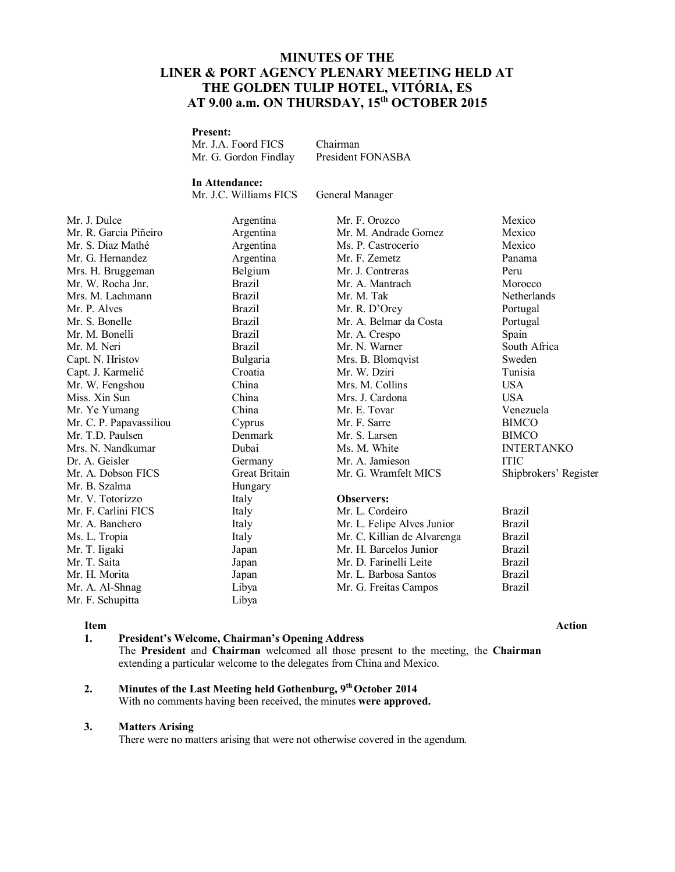# **MINUTES OF THE LINER & PORT AGENCY PLENARY MEETING HELD AT THE GOLDEN TULIP HOTEL, VITÓRIA, ES AT 9.00 a.m. ON THURSDAY, 15 th OCTOBER 2015**

### **Present:**

| Mr. J.A. Foord FICS   | <b>Chairman</b>   |
|-----------------------|-------------------|
| Mr. G. Gordon Findlay | President FONASBA |

# **In Attendance:**

Mr. J.C. Williams FICS General Manager

| Mr. J. Dulce            | Argentina     | Mr. F. Orozco               | Mexico          |
|-------------------------|---------------|-----------------------------|-----------------|
| Mr. R. Garcia Piñeiro   | Argentina     | Mr. M. Andrade Gomez        | Mexico          |
| Mr. S. Diaz Mathé       | Argentina     | Ms. P. Castrocerio          | Mexico          |
| Mr. G. Hernandez        | Argentina     | Mr. F. Zemetz               | Panama          |
| Mrs. H. Bruggeman       | Belgium       | Mr. J. Contreras            | Peru            |
| Mr. W. Rocha Jnr.       | <b>Brazil</b> | Mr. A. Mantrach             | Morocco         |
| Mrs. M. Lachmann        | <b>Brazil</b> | Mr. M. Tak                  | Netherlands     |
| Mr. P. Alves            | <b>Brazil</b> | Mr. R. D'Orey               | Portugal        |
| Mr. S. Bonelle          | <b>Brazil</b> | Mr. A. Belmar da Costa      | Portugal        |
| Mr. M. Bonelli          | <b>Brazil</b> | Mr. A. Crespo               | Spain           |
| Mr. M. Neri             | <b>Brazil</b> | Mr. N. Warner               | South Africa    |
| Capt. N. Hristov        | Bulgaria      | Mrs. B. Blomqvist           | Sweden          |
| Capt. J. Karmelić       | Croatia       | Mr. W. Dziri                | Tunisia         |
| Mr. W. Fengshou         | China         | Mrs. M. Collins             | <b>USA</b>      |
| Miss. Xin Sun           | China         | Mrs. J. Cardona             | <b>USA</b>      |
| Mr. Ye Yumang           | China         | Mr. E. Tovar                | Venezuela       |
| Mr. C. P. Papavassiliou | Cyprus        | Mr. F. Sarre                | <b>BIMCO</b>    |
| Mr. T.D. Paulsen        | Denmark       | Mr. S. Larsen               | <b>BIMCO</b>    |
| Mrs. N. Nandkumar       | Dubai         | Ms. M. White                | <b>INTERTAN</b> |
| Dr. A. Geisler          | Germany       | Mr. A. Jamieson             | <b>ITIC</b>     |
| Mr. A. Dobson FICS      | Great Britain | Mr. G. Wramfelt MICS        | Shipbrokers     |
| Mr. B. Szalma           | Hungary       |                             |                 |
| Mr. V. Totorizzo        | Italy         | <b>Observers:</b>           |                 |
| Mr. F. Carlini FICS     | Italy         | Mr. L. Cordeiro             | <b>Brazil</b>   |
| Mr. A. Banchero         | Italy         | Mr. L. Felipe Alves Junior  | <b>Brazil</b>   |
| Ms. L. Tropia           | Italy         | Mr. C. Killian de Alvarenga | Brazil          |
| Mr. T. Iigaki           | Japan         | Mr. H. Barcelos Junior      | <b>Brazil</b>   |
| Mr. T. Saita            | Japan         | Mr. D. Farinelli Leite      | <b>Brazil</b>   |
| Mr. H. Morita           | Japan         | Mr. L. Barbosa Santos       | <b>Brazil</b>   |
| Mr. A. Al-Shnag         | Libya         | Mr. G. Freitas Campos       | <b>Brazil</b>   |
| Mr. F. Schupitta        | Libya         |                             |                 |

Argentina Mr. F. Orozco Mexico Argentina Mr. M. Andrade Gomez Mexico Argentina Ms. P. Castrocerio Mexico Argentina Mr. F. Zemetz Panama Belgium Mr. J. Contreras Peru Brazil Mr. A. Mantrach Morocco Brazil Mr. R. D'Orey Portugal Brazil Mr. A. Belmar da Costa Portugal Brazil Mr. A. Crespo Spain Brazil Mr. N. Warner South Africa Bulgaria Mrs. B. Blomqvist Sweden Croatia Mr. W. Dziri Tunisia China Mrs. M. Collins USA China Mrs. J. Cardona USA China Mr. E. Tovar Venezuela Cyprus Mr. F. Sarre BIMCO Denmark Mr. S. Larsen BIMCO Dubai Ms. M. White INTERTANKO Germany Mr. A. Jamieson ITIC Great Britain Mr. G. Wramfelt MICS Shipbrokers' Register

**Item Action**

### **1. President's Welcome, Chairman's Opening Address** The **President** and **Chairman** welcomed all those present to the meeting, the **Chairman**  extending a particular welcome to the delegates from China and Mexico.

### **2. Minutes of the Last Meeting held Gothenburg, 9 thOctober 2014** With no comments having been received, the minutes **were approved.**

Libya

#### **3. Matters Arising**

There were no matters arising that were not otherwise covered in the agendum.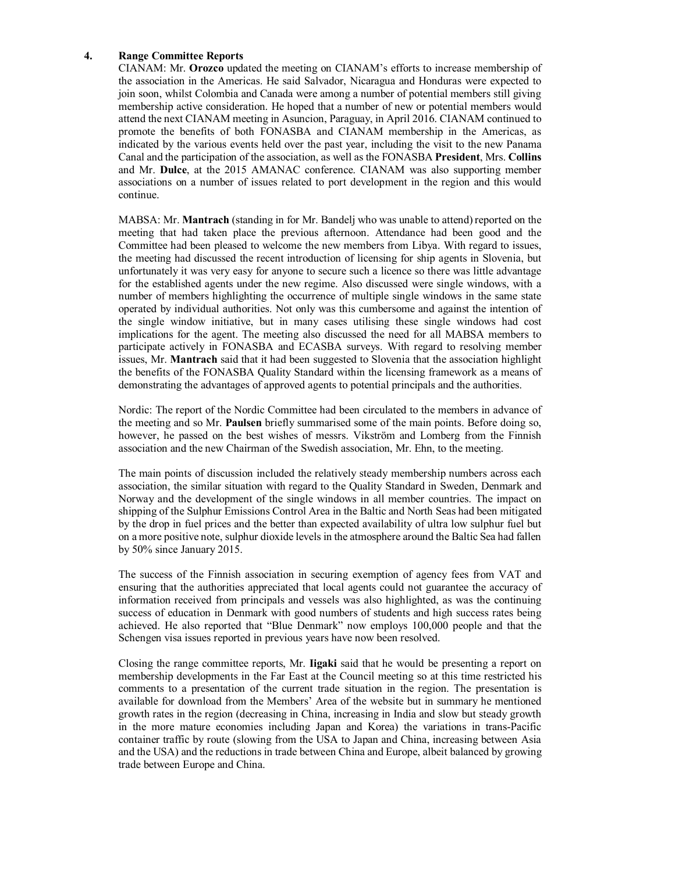## **4. Range Committee Reports**

CIANAM: Mr. **Orozco** updated the meeting on CIANAM's efforts to increase membership of the association in the Americas. He said Salvador, Nicaragua and Honduras were expected to join soon, whilst Colombia and Canada were among a number of potential members still giving membership active consideration. He hoped that a number of new or potential members would attend the next CIANAM meeting in Asuncion, Paraguay, in April 2016. CIANAM continued to promote the benefits of both FONASBA and CIANAM membership in the Americas, as indicated by the various events held over the past year, including the visit to the new Panama Canal and the participation of the association, as well as the FONASBA **President**, Mrs. **Collins** and Mr. **Dulce**, at the 2015 AMANAC conference. CIANAM was also supporting member associations on a number of issues related to port development in the region and this would continue.

MABSA: Mr. **Mantrach** (standing in for Mr. Bandelj who was unable to attend) reported on the meeting that had taken place the previous afternoon. Attendance had been good and the Committee had been pleased to welcome the new members from Libya. With regard to issues, the meeting had discussed the recent introduction of licensing for ship agents in Slovenia, but unfortunately it was very easy for anyone to secure such a licence so there was little advantage for the established agents under the new regime. Also discussed were single windows, with a number of members highlighting the occurrence of multiple single windows in the same state operated by individual authorities. Not only was this cumbersome and against the intention of the single window initiative, but in many cases utilising these single windows had cost implications for the agent. The meeting also discussed the need for all MABSA members to participate actively in FONASBA and ECASBA surveys. With regard to resolving member issues, Mr. **Mantrach** said that it had been suggested to Slovenia that the association highlight the benefits of the FONASBA Quality Standard within the licensing framework as a means of demonstrating the advantages of approved agents to potential principals and the authorities.

Nordic: The report of the Nordic Committee had been circulated to the members in advance of the meeting and so Mr. **Paulsen** briefly summarised some of the main points. Before doing so, however, he passed on the best wishes of messrs. Vikström and Lomberg from the Finnish association and the new Chairman of the Swedish association, Mr. Ehn, to the meeting.

The main points of discussion included the relatively steady membership numbers across each association, the similar situation with regard to the Quality Standard in Sweden, Denmark and Norway and the development of the single windows in all member countries. The impact on shipping of the Sulphur Emissions Control Area in the Baltic and North Seas had been mitigated by the drop in fuel prices and the better than expected availability of ultra low sulphur fuel but on a more positive note, sulphur dioxide levels in the atmosphere around the Baltic Sea had fallen by 50% since January 2015.

The success of the Finnish association in securing exemption of agency fees from VAT and ensuring that the authorities appreciated that local agents could not guarantee the accuracy of information received from principals and vessels was also highlighted, as was the continuing success of education in Denmark with good numbers of students and high success rates being achieved. He also reported that "Blue Denmark" now employs 100,000 people and that the Schengen visa issues reported in previous years have now been resolved.

Closing the range committee reports, Mr. **Iigaki** said that he would be presenting a report on membership developments in the Far East at the Council meeting so at this time restricted his comments to a presentation of the current trade situation in the region. The presentation is available for download from the Members' Area of the website but in summary he mentioned growth rates in the region (decreasing in China, increasing in India and slow but steady growth in the more mature economies including Japan and Korea) the variations in trans-Pacific container traffic by route (slowing from the USA to Japan and China, increasing between Asia and the USA) and the reductions in trade between China and Europe, albeit balanced by growing trade between Europe and China.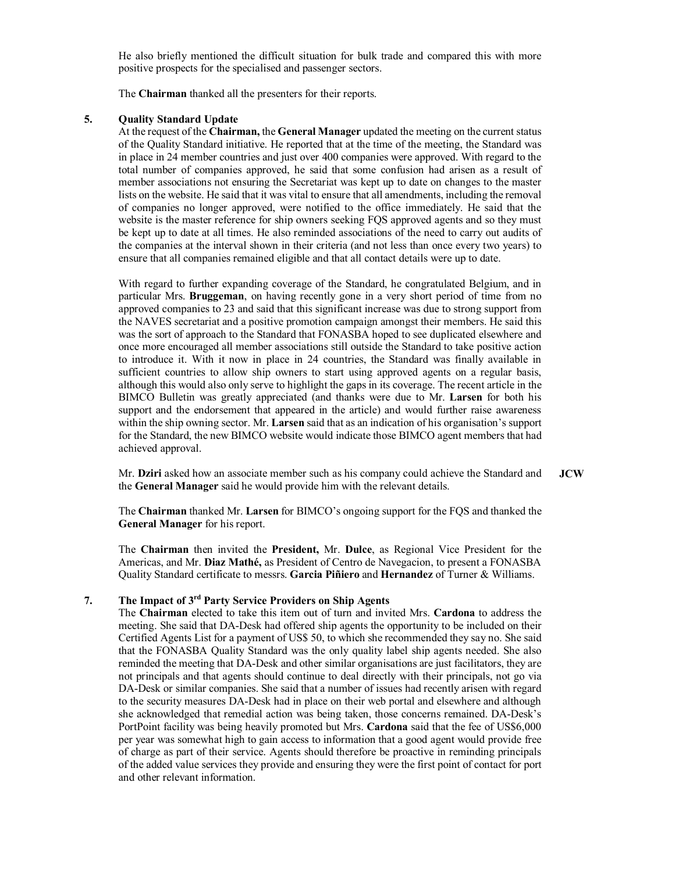He also briefly mentioned the difficult situation for bulk trade and compared this with more positive prospects for the specialised and passenger sectors.

The **Chairman** thanked all the presenters for their reports.

#### **5. Quality Standard Update**

At the request of the **Chairman,** the **General Manager** updated the meeting on the current status of the Quality Standard initiative. He reported that at the time of the meeting, the Standard was in place in 24 member countries and just over 400 companies were approved. With regard to the total number of companies approved, he said that some confusion had arisen as a result of member associations not ensuring the Secretariat was kept up to date on changes to the master lists on the website. He said that it was vital to ensure that all amendments, including the removal of companies no longer approved, were notified to the office immediately. He said that the website is the master reference for ship owners seeking FQS approved agents and so they must be kept up to date at all times. He also reminded associations of the need to carry out audits of the companies at the interval shown in their criteria (and not less than once every two years) to ensure that all companies remained eligible and that all contact details were up to date.

With regard to further expanding coverage of the Standard, he congratulated Belgium, and in particular Mrs. **Bruggeman**, on having recently gone in a very short period of time from no approved companies to 23 and said that this significant increase was due to strong support from the NAVES secretariat and a positive promotion campaign amongst their members. He said this was the sort of approach to the Standard that FONASBA hoped to see duplicated elsewhere and once more encouraged all member associations still outside the Standard to take positive action to introduce it. With it now in place in 24 countries, the Standard was finally available in sufficient countries to allow ship owners to start using approved agents on a regular basis, although this would also only serve to highlight the gaps in its coverage. The recent article in the BIMCO Bulletin was greatly appreciated (and thanks were due to Mr. **Larsen** for both his support and the endorsement that appeared in the article) and would further raise awareness within the ship owning sector. Mr. **Larsen** said that as an indication of his organisation's support for the Standard, the new BIMCO website would indicate those BIMCO agent members that had achieved approval.

Mr. **Dziri** asked how an associate member such as his company could achieve the Standard and the **General Manager** said he would provide him with the relevant details. **JCW**

The **Chairman** thanked Mr. **Larsen** for BIMCO's ongoing support for the FQS and thanked the **General Manager** for his report.

The **Chairman** then invited the **President,** Mr. **Dulce**, as Regional Vice President for the Americas, and Mr. **Diaz Mathé,** as President of Centro de Navegacion, to present a FONASBA Quality Standard certificate to messrs. **Garcia Piñiero** and **Hernandez** of Turner & Williams.

### **7. The Impact of 3rd Party Service Providers on Ship Agents**

The **Chairman** elected to take this item out of turn and invited Mrs. **Cardona** to address the meeting. She said that DA-Desk had offered ship agents the opportunity to be included on their Certified Agents List for a payment of US\$ 50, to which she recommended they say no. She said that the FONASBA Quality Standard was the only quality label ship agents needed. She also reminded the meeting that DA-Desk and other similar organisations are just facilitators, they are not principals and that agents should continue to deal directly with their principals, not go via DA-Desk or similar companies. She said that a number of issues had recently arisen with regard to the security measures DA-Desk had in place on their web portal and elsewhere and although she acknowledged that remedial action was being taken, those concerns remained. DA-Desk's PortPoint facility was being heavily promoted but Mrs. **Cardona** said that the fee of US\$6,000 per year was somewhat high to gain access to information that a good agent would provide free of charge as part of their service. Agents should therefore be proactive in reminding principals of the added value services they provide and ensuring they were the first point of contact for port and other relevant information.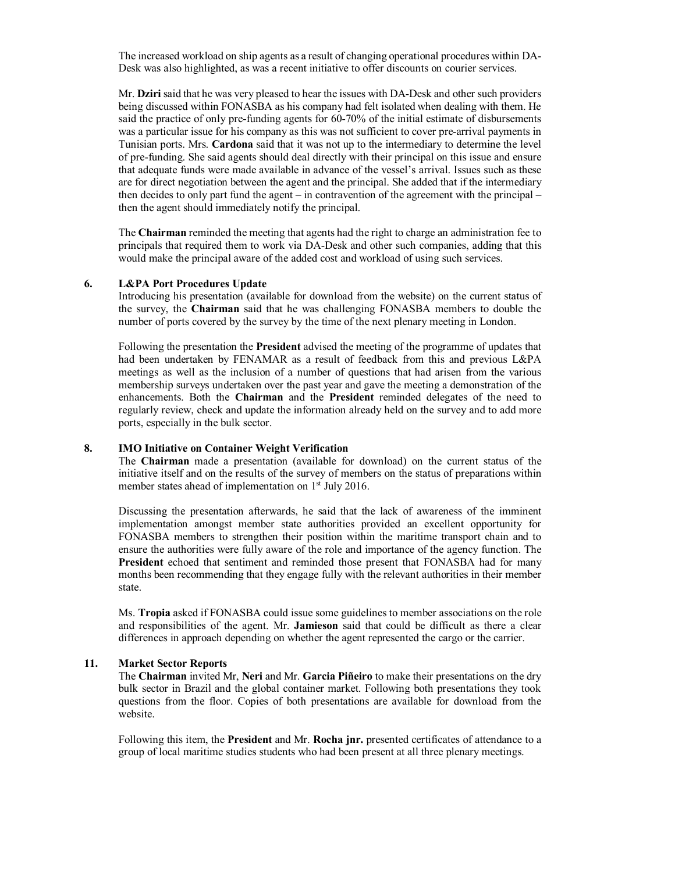The increased workload on ship agents as a result of changing operational procedures within DA-Desk was also highlighted, as was a recent initiative to offer discounts on courier services.

Mr. **Dziri** said that he was very pleased to hear the issues with DA-Desk and other such providers being discussed within FONASBA as his company had felt isolated when dealing with them. He said the practice of only pre-funding agents for 60-70% of the initial estimate of disbursements was a particular issue for his company as this was not sufficient to cover pre-arrival payments in Tunisian ports. Mrs. **Cardona** said that it was not up to the intermediary to determine the level of pre-funding. She said agents should deal directly with their principal on this issue and ensure that adequate funds were made available in advance of the vessel's arrival. Issues such as these are for direct negotiation between the agent and the principal. She added that if the intermediary then decides to only part fund the agent – in contravention of the agreement with the principal – then the agent should immediately notify the principal.

The **Chairman** reminded the meeting that agents had the right to charge an administration fee to principals that required them to work via DA-Desk and other such companies, adding that this would make the principal aware of the added cost and workload of using such services.

#### **6. L&PA Port Procedures Update**

Introducing his presentation (available for download from the website) on the current status of the survey, the **Chairman** said that he was challenging FONASBA members to double the number of ports covered by the survey by the time of the next plenary meeting in London.

Following the presentation the **President** advised the meeting of the programme of updates that had been undertaken by FENAMAR as a result of feedback from this and previous L&PA meetings as well as the inclusion of a number of questions that had arisen from the various membership surveys undertaken over the past year and gave the meeting a demonstration of the enhancements. Both the **Chairman** and the **President** reminded delegates of the need to regularly review, check and update the information already held on the survey and to add more ports, especially in the bulk sector.

#### **8. IMO Initiative on Container Weight Verification**

The **Chairman** made a presentation (available for download) on the current status of the initiative itself and on the results of the survey of members on the status of preparations within member states ahead of implementation on 1<sup>st</sup> July 2016.

Discussing the presentation afterwards, he said that the lack of awareness of the imminent implementation amongst member state authorities provided an excellent opportunity for FONASBA members to strengthen their position within the maritime transport chain and to ensure the authorities were fully aware of the role and importance of the agency function. The **President** echoed that sentiment and reminded those present that FONASBA had for many months been recommending that they engage fully with the relevant authorities in their member state.

Ms. **Tropia** asked if FONASBA could issue some guidelines to member associations on the role and responsibilities of the agent. Mr. **Jamieson** said that could be difficult as there a clear differences in approach depending on whether the agent represented the cargo or the carrier.

#### **11. Market Sector Reports**

The **Chairman** invited Mr, **Neri** and Mr. **Garcia Piñeiro** to make their presentations on the dry bulk sector in Brazil and the global container market. Following both presentations they took questions from the floor. Copies of both presentations are available for download from the website.

Following this item, the **President** and Mr. **Rocha jnr.** presented certificates of attendance to a group of local maritime studies students who had been present at all three plenary meetings.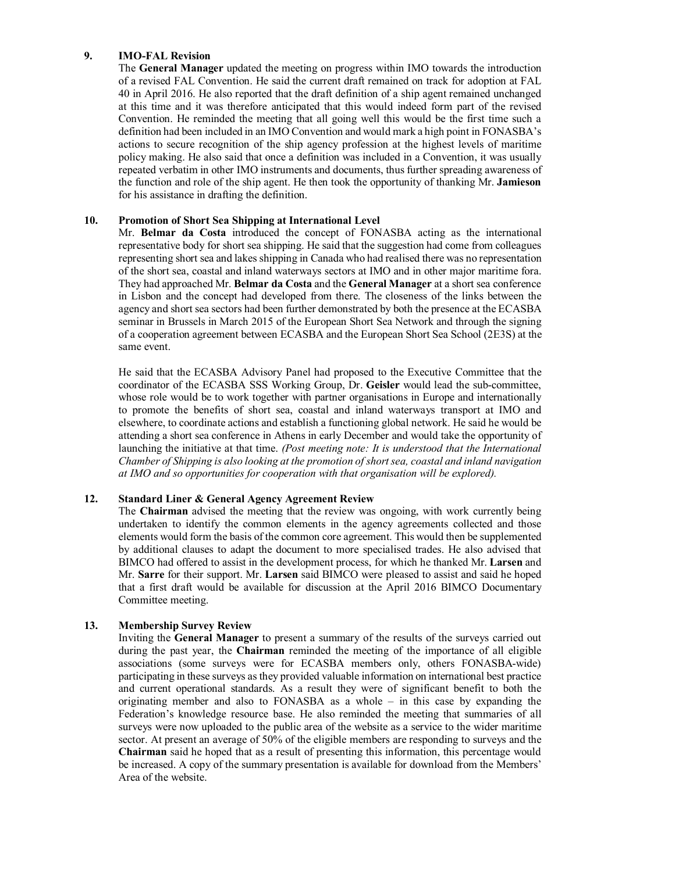#### **9. IMO-FAL Revision**

The **General Manager** updated the meeting on progress within IMO towards the introduction of a revised FAL Convention. He said the current draft remained on track for adoption at FAL 40 in April 2016. He also reported that the draft definition of a ship agent remained unchanged at this time and it was therefore anticipated that this would indeed form part of the revised Convention. He reminded the meeting that all going well this would be the first time such a definition had been included in an IMO Convention and would mark a high point in FONASBA's actions to secure recognition of the ship agency profession at the highest levels of maritime policy making. He also said that once a definition was included in a Convention, it was usually repeated verbatim in other IMO instruments and documents, thus further spreading awareness of the function and role of the ship agent. He then took the opportunity of thanking Mr. **Jamieson** for his assistance in drafting the definition.

#### **10. Promotion of Short Sea Shipping at International Level**

Mr. **Belmar da Costa** introduced the concept of FONASBA acting as the international representative body for short sea shipping. He said that the suggestion had come from colleagues representing short sea and lakes shipping in Canada who had realised there was no representation of the short sea, coastal and inland waterways sectors at IMO and in other major maritime fora. They had approached Mr. **Belmar da Costa** and the **General Manager** at a short sea conference in Lisbon and the concept had developed from there. The closeness of the links between the agency and short sea sectors had been further demonstrated by both the presence at the ECASBA seminar in Brussels in March 2015 of the European Short Sea Network and through the signing of a cooperation agreement between ECASBA and the European Short Sea School (2E3S) at the same event.

He said that the ECASBA Advisory Panel had proposed to the Executive Committee that the coordinator of the ECASBA SSS Working Group, Dr. **Geisler** would lead the sub-committee, whose role would be to work together with partner organisations in Europe and internationally to promote the benefits of short sea, coastal and inland waterways transport at IMO and elsewhere, to coordinate actions and establish a functioning global network. He said he would be attending a short sea conference in Athens in early December and would take the opportunity of launching the initiative at that time. *(Post meeting note: It is understood that the International Chamber of Shipping is also looking at the promotion of short sea, coastal and inland navigation at IMO and so opportunities for cooperation with that organisation will be explored).*

#### **12. Standard Liner & General Agency Agreement Review**

The **Chairman** advised the meeting that the review was ongoing, with work currently being undertaken to identify the common elements in the agency agreements collected and those elements would form the basis of the common core agreement. This would then be supplemented by additional clauses to adapt the document to more specialised trades. He also advised that BIMCO had offered to assist in the development process, for which he thanked Mr. **Larsen** and Mr. **Sarre** for their support. Mr. **Larsen** said BIMCO were pleased to assist and said he hoped that a first draft would be available for discussion at the April 2016 BIMCO Documentary Committee meeting.

#### **13. Membership Survey Review**

Inviting the **General Manager** to present a summary of the results of the surveys carried out during the past year, the **Chairman** reminded the meeting of the importance of all eligible associations (some surveys were for ECASBA members only, others FONASBA-wide) participating in these surveys as they provided valuable information on international best practice and current operational standards. As a result they were of significant benefit to both the originating member and also to FONASBA as a whole – in this case by expanding the Federation's knowledge resource base. He also reminded the meeting that summaries of all surveys were now uploaded to the public area of the website as a service to the wider maritime sector. At present an average of 50% of the eligible members are responding to surveys and the **Chairman** said he hoped that as a result of presenting this information, this percentage would be increased. A copy of the summary presentation is available for download from the Members' Area of the website.